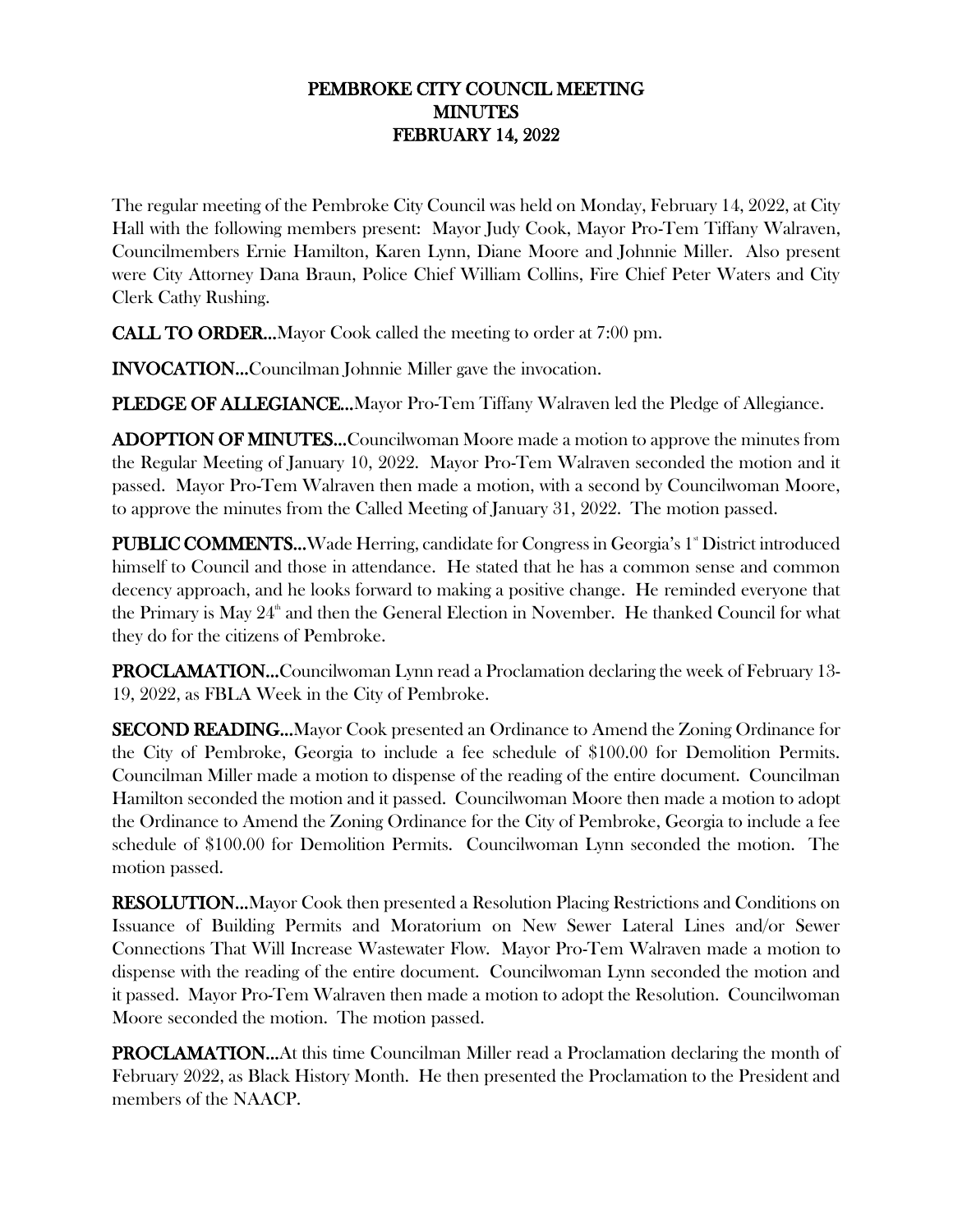## PEMBROKE CITY COUNCIL MEETING **MINUTES** FEBRUARY 14, 2022

The regular meeting of the Pembroke City Council was held on Monday, February 14, 2022, at City Hall with the following members present: Mayor Judy Cook, Mayor Pro-Tem Tiffany Walraven, Councilmembers Ernie Hamilton, Karen Lynn, Diane Moore and Johnnie Miller. Also present were City Attorney Dana Braun, Police Chief William Collins, Fire Chief Peter Waters and City Clerk Cathy Rushing.

CALL TO ORDER…Mayor Cook called the meeting to order at 7:00 pm.

INVOCATION…Councilman Johnnie Miller gave the invocation.

PLEDGE OF ALLEGIANCE...Mayor Pro-Tem Tiffany Walraven led the Pledge of Allegiance.

ADOPTION OF MINUTES…Councilwoman Moore made a motion to approve the minutes from the Regular Meeting of January 10, 2022. Mayor Pro-Tem Walraven seconded the motion and it passed. Mayor Pro-Tem Walraven then made a motion, with a second by Councilwoman Moore, to approve the minutes from the Called Meeting of January 31, 2022. The motion passed.

**PUBLIC COMMENTS...** Wade Herring, candidate for Congress in Georgia's 1<sup>st</sup> District introduced himself to Council and those in attendance. He stated that he has a common sense and common decency approach, and he looks forward to making a positive change. He reminded everyone that the Primary is May  $24^{\text{th}}$  and then the General Election in November. He thanked Council for what they do for the citizens of Pembroke.

PROCLAMATION…Councilwoman Lynn read a Proclamation declaring the week of February 13- 19, 2022, as FBLA Week in the City of Pembroke.

SECOND READING…Mayor Cook presented an Ordinance to Amend the Zoning Ordinance for the City of Pembroke, Georgia to include a fee schedule of \$100.00 for Demolition Permits. Councilman Miller made a motion to dispense of the reading of the entire document. Councilman Hamilton seconded the motion and it passed. Councilwoman Moore then made a motion to adopt the Ordinance to Amend the Zoning Ordinance for the City of Pembroke, Georgia to include a fee schedule of \$100.00 for Demolition Permits. Councilwoman Lynn seconded the motion. The motion passed.

RESOLUTION…Mayor Cook then presented a Resolution Placing Restrictions and Conditions on Issuance of Building Permits and Moratorium on New Sewer Lateral Lines and/or Sewer Connections That Will Increase Wastewater Flow. Mayor Pro-Tem Walraven made a motion to dispense with the reading of the entire document. Councilwoman Lynn seconded the motion and it passed. Mayor Pro-Tem Walraven then made a motion to adopt the Resolution. Councilwoman Moore seconded the motion. The motion passed.

PROCLAMATION…At this time Councilman Miller read a Proclamation declaring the month of February 2022, as Black History Month. He then presented the Proclamation to the President and members of the NAACP.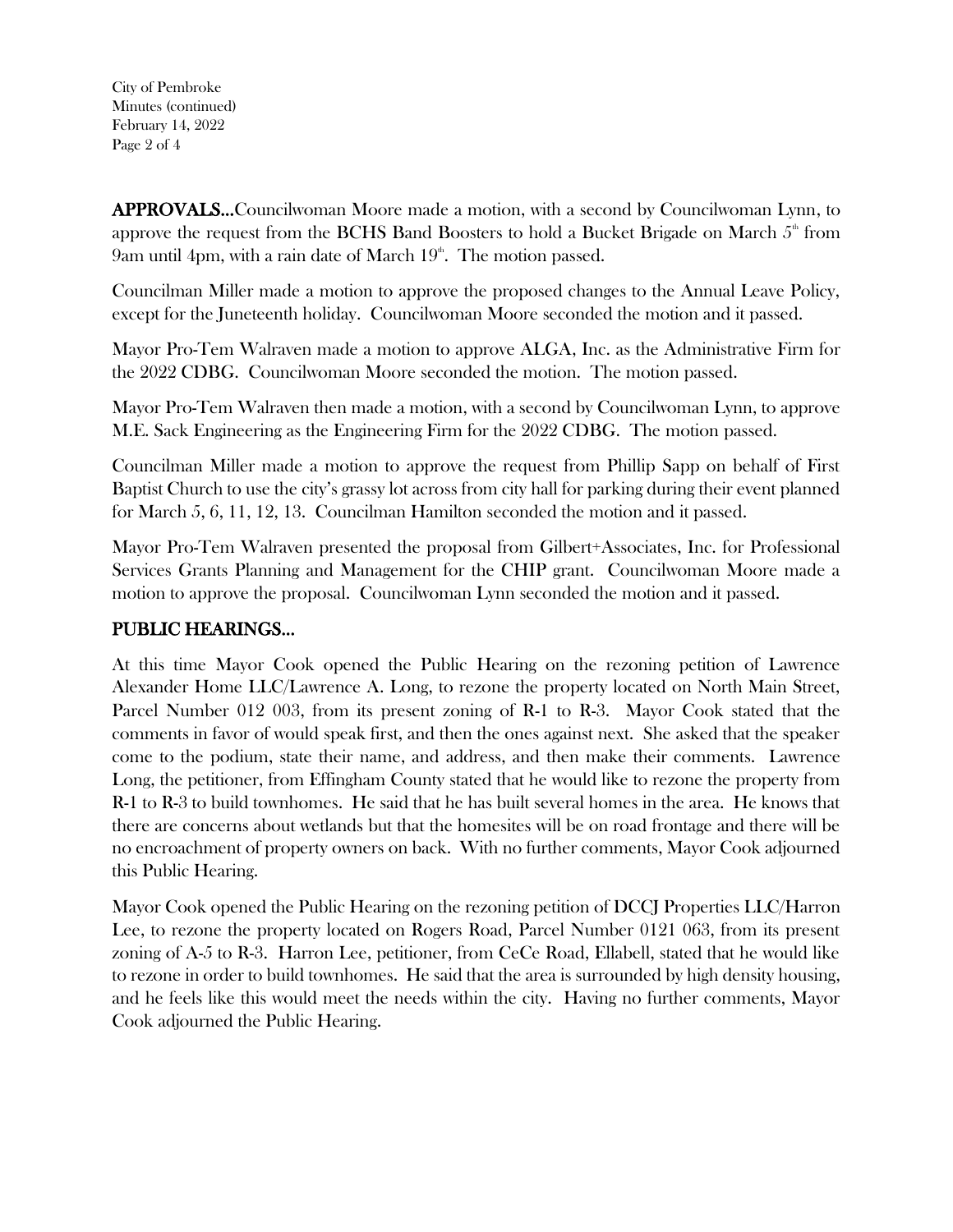City of Pembroke Minutes (continued) February 14, 2022 Page 2 of 4

APPROVALS…Councilwoman Moore made a motion, with a second by Councilwoman Lynn, to approve the request from the BCHS Band Boosters to hold a Bucket Brigade on March  $5<sup>th</sup>$  from 9am until 4pm, with a rain date of March  $19<sup>th</sup>$ . The motion passed.

Councilman Miller made a motion to approve the proposed changes to the Annual Leave Policy, except for the Juneteenth holiday. Councilwoman Moore seconded the motion and it passed.

Mayor Pro-Tem Walraven made a motion to approve ALGA, Inc. as the Administrative Firm for the 2022 CDBG. Councilwoman Moore seconded the motion. The motion passed.

Mayor Pro-Tem Walraven then made a motion, with a second by Councilwoman Lynn, to approve M.E. Sack Engineering as the Engineering Firm for the 2022 CDBG. The motion passed.

Councilman Miller made a motion to approve the request from Phillip Sapp on behalf of First Baptist Church to use the city's grassy lot across from city hall for parking during their event planned for March 5, 6, 11, 12, 13. Councilman Hamilton seconded the motion and it passed.

Mayor Pro-Tem Walraven presented the proposal from Gilbert+Associates, Inc. for Professional Services Grants Planning and Management for the CHIP grant. Councilwoman Moore made a motion to approve the proposal. Councilwoman Lynn seconded the motion and it passed.

## PUBLIC HEARINGS…

At this time Mayor Cook opened the Public Hearing on the rezoning petition of Lawrence Alexander Home LLC/Lawrence A. Long, to rezone the property located on North Main Street, Parcel Number 012 003, from its present zoning of R-1 to R-3. Mayor Cook stated that the comments in favor of would speak first, and then the ones against next. She asked that the speaker come to the podium, state their name, and address, and then make their comments. Lawrence Long, the petitioner, from Effingham County stated that he would like to rezone the property from R-1 to R-3 to build townhomes. He said that he has built several homes in the area. He knows that there are concerns about wetlands but that the homesites will be on road frontage and there will be no encroachment of property owners on back. With no further comments, Mayor Cook adjourned this Public Hearing.

Mayor Cook opened the Public Hearing on the rezoning petition of DCCJ Properties LLC/Harron Lee, to rezone the property located on Rogers Road, Parcel Number 0121 063, from its present zoning of A-5 to R-3. Harron Lee, petitioner, from CeCe Road, Ellabell, stated that he would like to rezone in order to build townhomes. He said that the area is surrounded by high density housing, and he feels like this would meet the needs within the city. Having no further comments, Mayor Cook adjourned the Public Hearing.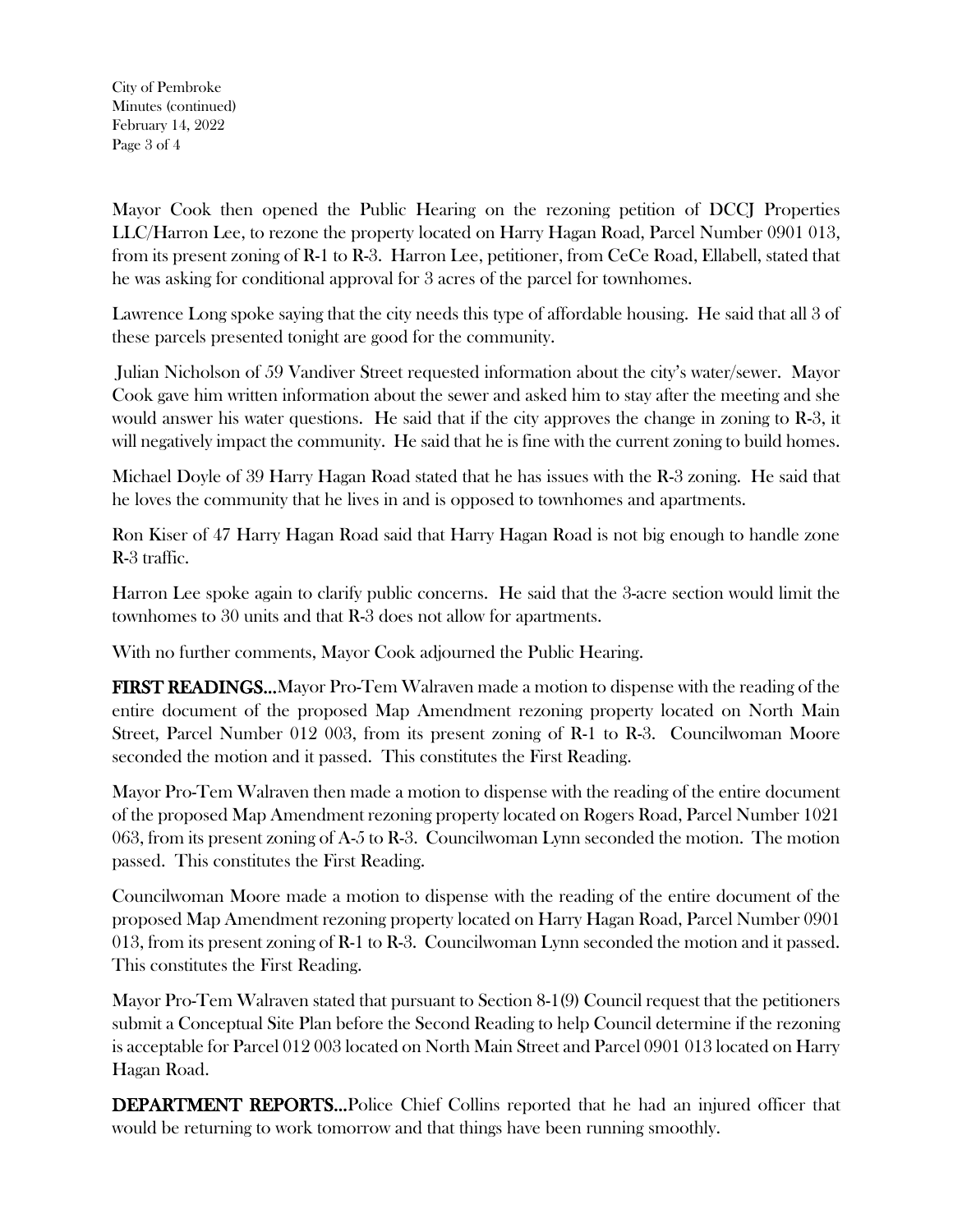City of Pembroke Minutes (continued) February 14, 2022 Page 3 of 4

Mayor Cook then opened the Public Hearing on the rezoning petition of DCCJ Properties LLC/Harron Lee, to rezone the property located on Harry Hagan Road, Parcel Number 0901 013, from its present zoning of R-1 to R-3. Harron Lee, petitioner, from CeCe Road, Ellabell, stated that he was asking for conditional approval for 3 acres of the parcel for townhomes.

Lawrence Long spoke saying that the city needs this type of affordable housing. He said that all 3 of these parcels presented tonight are good for the community.

Julian Nicholson of 59 Vandiver Street requested information about the city's water/sewer. Mayor Cook gave him written information about the sewer and asked him to stay after the meeting and she would answer his water questions. He said that if the city approves the change in zoning to R-3, it will negatively impact the community. He said that he is fine with the current zoning to build homes.

Michael Doyle of 39 Harry Hagan Road stated that he has issues with the R-3 zoning. He said that he loves the community that he lives in and is opposed to townhomes and apartments.

Ron Kiser of 47 Harry Hagan Road said that Harry Hagan Road is not big enough to handle zone R-3 traffic.

Harron Lee spoke again to clarify public concerns. He said that the 3-acre section would limit the townhomes to 30 units and that R-3 does not allow for apartments.

With no further comments, Mayor Cook adjourned the Public Hearing.

FIRST READINGS…Mayor Pro-Tem Walraven made a motion to dispense with the reading of the entire document of the proposed Map Amendment rezoning property located on North Main Street, Parcel Number 012 003, from its present zoning of R-1 to R-3. Councilwoman Moore seconded the motion and it passed. This constitutes the First Reading.

Mayor Pro-Tem Walraven then made a motion to dispense with the reading of the entire document of the proposed Map Amendment rezoning property located on Rogers Road, Parcel Number 1021 063, from its present zoning of A-5 to R-3. Councilwoman Lynn seconded the motion. The motion passed. This constitutes the First Reading.

Councilwoman Moore made a motion to dispense with the reading of the entire document of the proposed Map Amendment rezoning property located on Harry Hagan Road, Parcel Number 0901 013, from its present zoning of R-1 to R-3. Councilwoman Lynn seconded the motion and it passed. This constitutes the First Reading.

Mayor Pro-Tem Walraven stated that pursuant to Section 8-1(9) Council request that the petitioners submit a Conceptual Site Plan before the Second Reading to help Council determine if the rezoning is acceptable for Parcel 012 003 located on North Main Street and Parcel 0901 013 located on Harry Hagan Road.

DEPARTMENT REPORTS…Police Chief Collins reported that he had an injured officer that would be returning to work tomorrow and that things have been running smoothly.